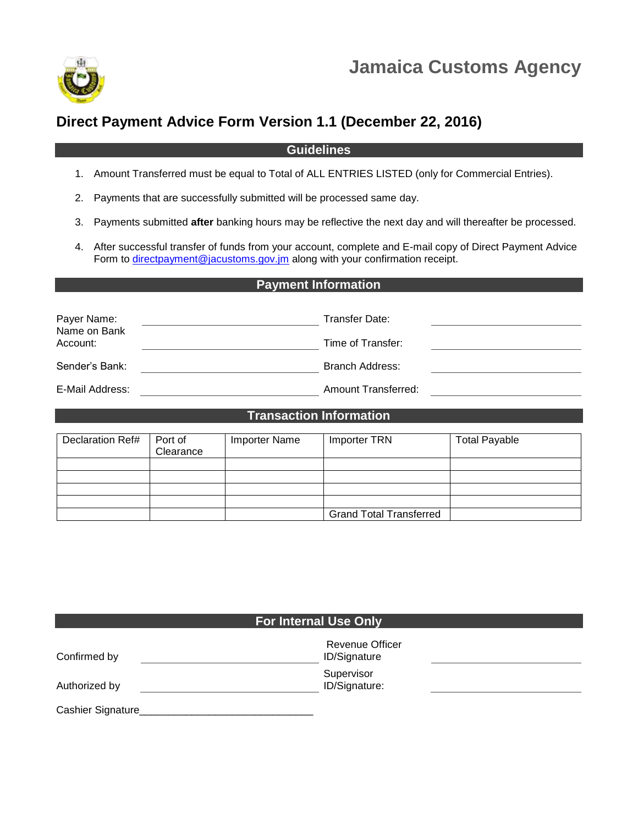

# **Direct Payment Advice Form Version 1.1 (December 22, 2016)**

### **Guidelines**

- 1. Amount Transferred must be equal to Total of ALL ENTRIES LISTED (only for Commercial Entries).
- 2. Payments that are successfully submitted will be processed same day.
- 3. Payments submitted **after** banking hours may be reflective the next day and will thereafter be processed.
- 4. After successful transfer of funds from your account, complete and E-mail copy of Direct Payment Advice Form to [directpayment@jacustoms.gov.jm](mailto:directpayment@jacustoms.gov.jm) along with your confirmation receipt.

## **Payment Information**

| Payer Name:<br>Name on Bank | Transfer Date:      |  |
|-----------------------------|---------------------|--|
| Account:                    | Time of Transfer:   |  |
| Sender's Bank:              | Branch Address:     |  |
| E-Mail Address:             | Amount Transferred: |  |

#### **Transaction Information**

| Declaration Ref# | Port of<br>Clearance | <b>Importer Name</b> | Importer TRN                   | <b>Total Payable</b> |
|------------------|----------------------|----------------------|--------------------------------|----------------------|
|                  |                      |                      |                                |                      |
|                  |                      |                      |                                |                      |
|                  |                      |                      |                                |                      |
|                  |                      |                      |                                |                      |
|                  |                      |                      | <b>Grand Total Transferred</b> |                      |

| <b>For Internal Use Only</b> |                                        |  |  |  |  |
|------------------------------|----------------------------------------|--|--|--|--|
| Confirmed by                 | Revenue Officer<br><b>ID/Signature</b> |  |  |  |  |
| Authorized by                | Supervisor<br>ID/Signature:            |  |  |  |  |
| Cashier Signature            |                                        |  |  |  |  |